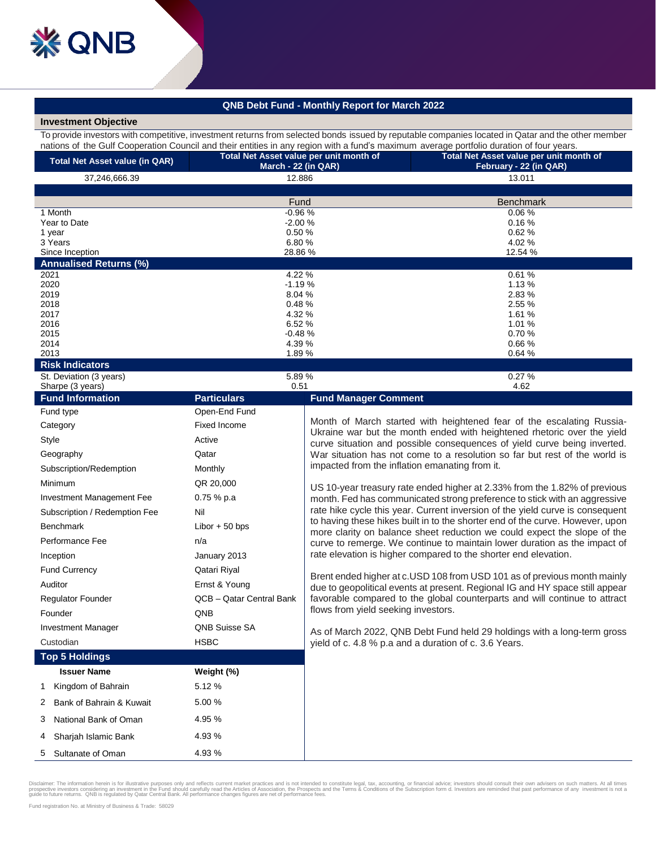## **QNB Debt Fund - Monthly Report for March 2022**

## **Investment Objective**

To provide investors with competitive, investment returns from selected bonds issued by reputable companies located in Qatar and the other member nations of the Gulf Cooperation Council and their entities in any region with a fund's maximum average portfolio duration of four years.

| <b>Total Net Asset value (in QAR)</b> | Total Net Asset value per unit month of<br>March - 22 (in QAR) | Total Net Asset value per unit month of<br>February - 22 (in QAR) |  |
|---------------------------------------|----------------------------------------------------------------|-------------------------------------------------------------------|--|
| 37,246,666.39                         | 12.886                                                         | 13.011                                                            |  |
|                                       |                                                                |                                                                   |  |
|                                       | Fund                                                           | <b>Benchmark</b>                                                  |  |
| 1 Month                               | $-0.96%$                                                       | 0.06%                                                             |  |
| Year to Date                          | $-2.00%$                                                       | 0.16%                                                             |  |
| 1 year                                | 0.50%                                                          | 0.62%                                                             |  |
| 3 Years                               | 6.80%                                                          | 4.02 %                                                            |  |
| Since Inception                       | 28.86 %                                                        | 12.54 %                                                           |  |
| <b>Annualised Returns (%)</b>         |                                                                |                                                                   |  |
| 2021                                  | 4.22 %                                                         | 0.61%                                                             |  |
| 2020                                  | $-1.19%$                                                       | 1.13%                                                             |  |
| 2019                                  | 8.04%                                                          | 2.83%                                                             |  |
| 2018                                  | 0.48%                                                          | 2.55 %                                                            |  |
| 2017                                  | 4.32 %                                                         | 1.61 %                                                            |  |
| 2016                                  | 6.52%                                                          | 1.01%                                                             |  |
| 2015                                  | $-0.48%$                                                       | 0.70%                                                             |  |
| 2014                                  | 4.39 %                                                         | 0.66%                                                             |  |
| 2013                                  | 1.89 %                                                         | 0.64%                                                             |  |
| Diek Indicatore                       |                                                                |                                                                   |  |

**Risk Indicators**

| St. Deviation (3 years)<br>Sharpe (3 years) | 5.89%<br>0.51            | 0.27%<br>4.62                                                                                                                                                                                                                                                                                                                                                                                                                                                                     |  |
|---------------------------------------------|--------------------------|-----------------------------------------------------------------------------------------------------------------------------------------------------------------------------------------------------------------------------------------------------------------------------------------------------------------------------------------------------------------------------------------------------------------------------------------------------------------------------------|--|
| <b>Fund Information</b>                     | <b>Particulars</b>       | <b>Fund Manager Comment</b>                                                                                                                                                                                                                                                                                                                                                                                                                                                       |  |
| Fund type                                   | Open-End Fund            |                                                                                                                                                                                                                                                                                                                                                                                                                                                                                   |  |
| Category                                    | <b>Fixed Income</b>      | Month of March started with heightened fear of the escalating Russia-<br>Ukraine war but the month ended with heightened rhetoric over the yield<br>curve situation and possible consequences of yield curve being inverted.<br>War situation has not come to a resolution so far but rest of the world is<br>impacted from the inflation emanating from it.                                                                                                                      |  |
| Style                                       | Active                   |                                                                                                                                                                                                                                                                                                                                                                                                                                                                                   |  |
| Geography                                   | Qatar                    |                                                                                                                                                                                                                                                                                                                                                                                                                                                                                   |  |
| Subscription/Redemption                     | Monthly                  |                                                                                                                                                                                                                                                                                                                                                                                                                                                                                   |  |
| Minimum                                     | QR 20,000                | US 10-year treasury rate ended higher at 2.33% from the 1.82% of previous<br>month. Fed has communicated strong preference to stick with an aggressive<br>rate hike cycle this year. Current inversion of the yield curve is consequent<br>to having these hikes built in to the shorter end of the curve. However, upon<br>more clarity on balance sheet reduction we could expect the slope of the<br>curve to remerge. We continue to maintain lower duration as the impact of |  |
| Investment Management Fee                   | $0.75%$ p.a.             |                                                                                                                                                                                                                                                                                                                                                                                                                                                                                   |  |
| Subscription / Redemption Fee               | Nil                      |                                                                                                                                                                                                                                                                                                                                                                                                                                                                                   |  |
| <b>Benchmark</b>                            | Libor $+50$ bps          |                                                                                                                                                                                                                                                                                                                                                                                                                                                                                   |  |
| Performance Fee                             | n/a                      |                                                                                                                                                                                                                                                                                                                                                                                                                                                                                   |  |
| Inception                                   | January 2013             | rate elevation is higher compared to the shorter end elevation.                                                                                                                                                                                                                                                                                                                                                                                                                   |  |
| <b>Fund Currency</b>                        | Qatari Riyal             | Brent ended higher at c.USD 108 from USD 101 as of previous month mainly<br>due to geopolitical events at present. Regional IG and HY space still appear                                                                                                                                                                                                                                                                                                                          |  |
| Auditor                                     | Ernst & Young            |                                                                                                                                                                                                                                                                                                                                                                                                                                                                                   |  |
| <b>Regulator Founder</b>                    | QCB - Qatar Central Bank | favorable compared to the global counterparts and will continue to attract                                                                                                                                                                                                                                                                                                                                                                                                        |  |
| Founder                                     | <b>QNB</b>               | flows from yield seeking investors.                                                                                                                                                                                                                                                                                                                                                                                                                                               |  |
| <b>Investment Manager</b>                   | <b>QNB Suisse SA</b>     | As of March 2022, QNB Debt Fund held 29 holdings with a long-term gross<br>yield of c. 4.8 % p.a and a duration of c. 3.6 Years.                                                                                                                                                                                                                                                                                                                                                  |  |
| Custodian                                   | <b>HSBC</b>              |                                                                                                                                                                                                                                                                                                                                                                                                                                                                                   |  |
| <b>Top 5 Holdings</b>                       |                          |                                                                                                                                                                                                                                                                                                                                                                                                                                                                                   |  |
| <b>Issuer Name</b>                          | Weight (%)               |                                                                                                                                                                                                                                                                                                                                                                                                                                                                                   |  |
| Kingdom of Bahrain<br>1                     | 5.12 %                   |                                                                                                                                                                                                                                                                                                                                                                                                                                                                                   |  |
| Bank of Bahrain & Kuwait<br>2               | 5.00 %                   |                                                                                                                                                                                                                                                                                                                                                                                                                                                                                   |  |
| 3<br>National Bank of Oman                  | 4.95 %                   |                                                                                                                                                                                                                                                                                                                                                                                                                                                                                   |  |
| Sharjah Islamic Bank<br>4                   | 4.93 %                   |                                                                                                                                                                                                                                                                                                                                                                                                                                                                                   |  |
| Sultanate of Oman<br>5                      | 4.93 %                   |                                                                                                                                                                                                                                                                                                                                                                                                                                                                                   |  |

Disclaimer: The information herein is for illustrative purposes only and reflects current market practices and is not intended to constitute legal, tax, accounting, or financial advice; investors should consult their own a